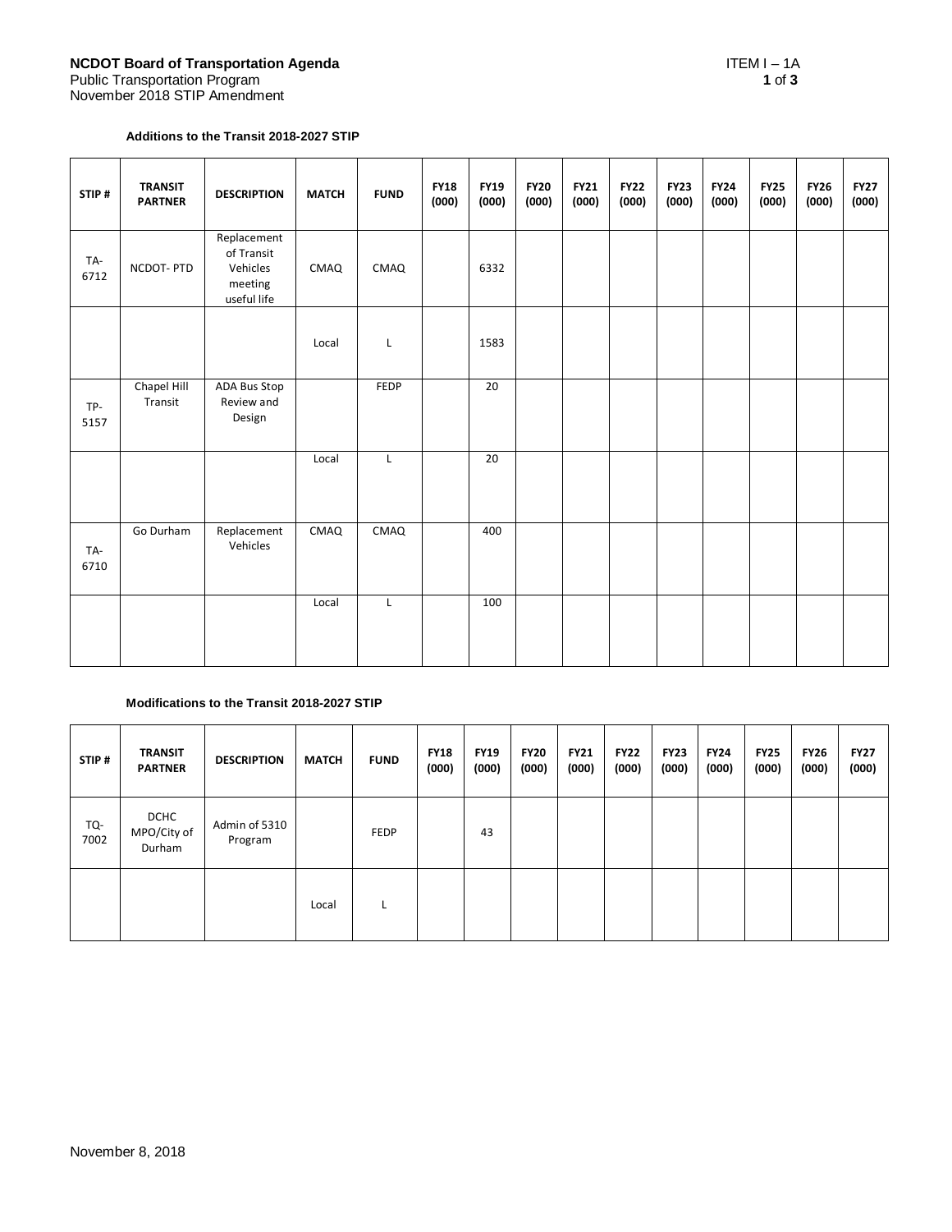### **Additions to the Transit 2018-2027 STIP**

| STIP#       | <b>TRANSIT</b><br><b>PARTNER</b> | <b>DESCRIPTION</b>                                              | <b>MATCH</b> | <b>FUND</b> | <b>FY18</b><br>(000) | <b>FY19</b><br>(000) | <b>FY20</b><br>(000) | <b>FY21</b><br>(000) | <b>FY22</b><br>(000) | <b>FY23</b><br>(000) | <b>FY24</b><br>(000) | <b>FY25</b><br>(000) | <b>FY26</b><br>(000) | <b>FY27</b><br>(000) |
|-------------|----------------------------------|-----------------------------------------------------------------|--------------|-------------|----------------------|----------------------|----------------------|----------------------|----------------------|----------------------|----------------------|----------------------|----------------------|----------------------|
| TA-<br>6712 | NCDOT-PTD                        | Replacement<br>of Transit<br>Vehicles<br>meeting<br>useful life | CMAQ         | CMAQ        |                      | 6332                 |                      |                      |                      |                      |                      |                      |                      |                      |
|             |                                  |                                                                 | Local        | Г           |                      | 1583                 |                      |                      |                      |                      |                      |                      |                      |                      |
| TP-<br>5157 | Chapel Hill<br>Transit           | ADA Bus Stop<br>Review and<br>Design                            |              | FEDP        |                      | 20                   |                      |                      |                      |                      |                      |                      |                      |                      |
|             |                                  |                                                                 | Local        | L           |                      | 20                   |                      |                      |                      |                      |                      |                      |                      |                      |
| TA-<br>6710 | Go Durham                        | Replacement<br>Vehicles                                         | CMAQ         | CMAQ        |                      | 400                  |                      |                      |                      |                      |                      |                      |                      |                      |
|             |                                  |                                                                 | Local        | L           |                      | 100                  |                      |                      |                      |                      |                      |                      |                      |                      |

## **Modifications to the Transit 2018-2027 STIP**

| STIP#       | <b>TRANSIT</b><br><b>PARTNER</b>     | <b>DESCRIPTION</b>       | <b>MATCH</b> | <b>FUND</b> | <b>FY18</b><br>(000) | <b>FY19</b><br>(000) | <b>FY20</b><br>(000) | <b>FY21</b><br>(000) | <b>FY22</b><br>(000) | <b>FY23</b><br>(000) | <b>FY24</b><br>(000) | <b>FY25</b><br>(000) | <b>FY26</b><br>(000) | <b>FY27</b><br>(000) |
|-------------|--------------------------------------|--------------------------|--------------|-------------|----------------------|----------------------|----------------------|----------------------|----------------------|----------------------|----------------------|----------------------|----------------------|----------------------|
| TQ-<br>7002 | <b>DCHC</b><br>MPO/City of<br>Durham | Admin of 5310<br>Program |              | <b>FEDP</b> |                      | 43                   |                      |                      |                      |                      |                      |                      |                      |                      |
|             |                                      |                          | Local        | <b>L</b>    |                      |                      |                      |                      |                      |                      |                      |                      |                      |                      |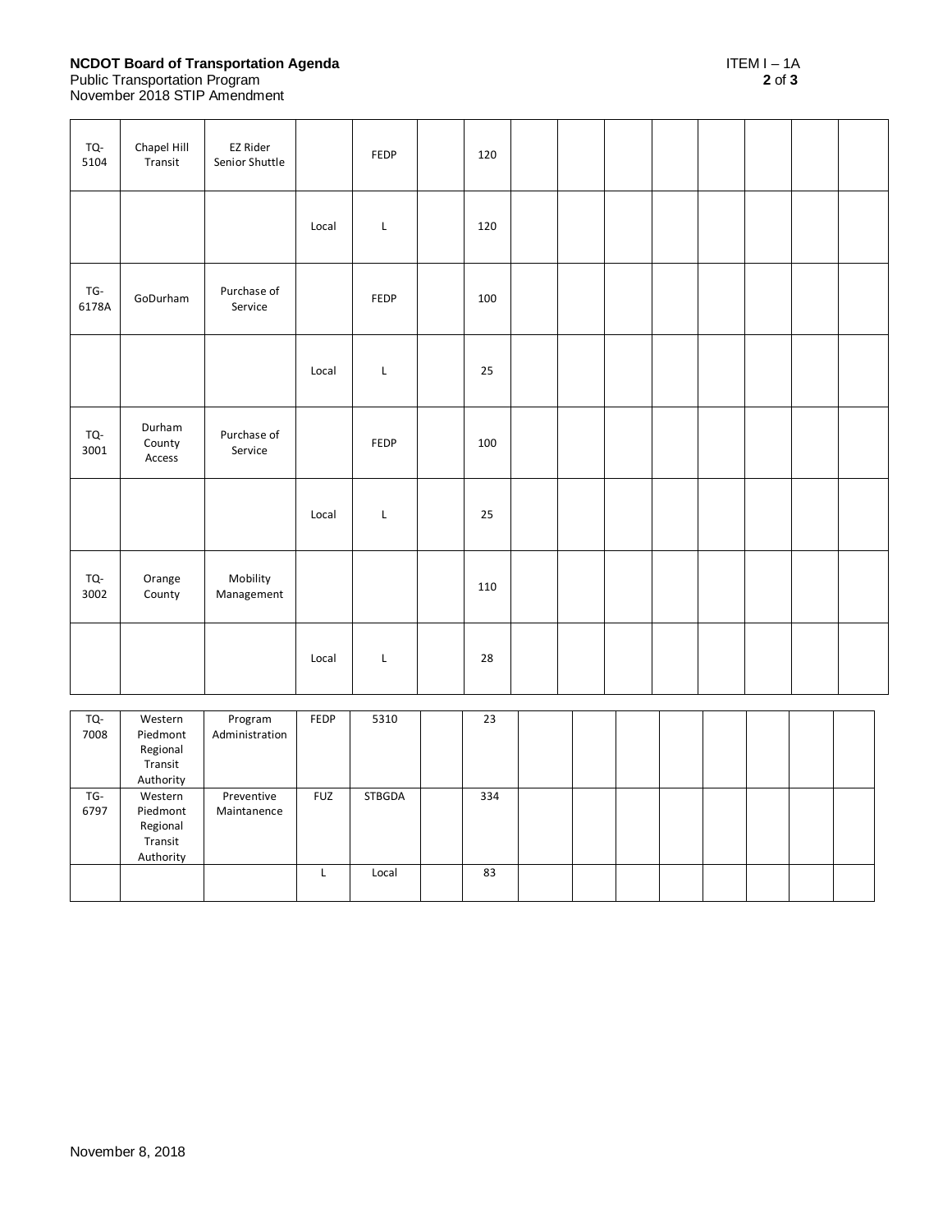# **NCDOT Board of Transportation Agenda** ITEM I – 1A

#### Public Transportation Program **2** of **3**

November 2018 STIP Amendment

| TQ-<br>5104    | Chapel Hill<br>Transit                                  | <b>EZ Rider</b><br>Senior Shuttle |                         | FEDP          | 120 |  |  |  |  |
|----------------|---------------------------------------------------------|-----------------------------------|-------------------------|---------------|-----|--|--|--|--|
|                |                                                         |                                   | Local                   | L             | 120 |  |  |  |  |
| TG-<br>6178A   | GoDurham                                                | Purchase of<br>Service            |                         | FEDP          | 100 |  |  |  |  |
|                |                                                         |                                   | Local                   | L             | 25  |  |  |  |  |
| TQ-<br>3001    | Durham<br>County<br>Access                              | Purchase of<br>Service            |                         | FEDP          | 100 |  |  |  |  |
|                |                                                         |                                   | Local                   | L             | 25  |  |  |  |  |
| TQ-<br>3002    | Orange<br>County                                        | Mobility<br>Management            |                         |               | 110 |  |  |  |  |
|                |                                                         |                                   | Local                   | L             | 28  |  |  |  |  |
| $TO-$<br>7008  | Western<br>Piedmont<br>Regional<br>Transit<br>Authority | Program<br>Administration         | FEDP                    | 5310          | 23  |  |  |  |  |
| $TG -$<br>6797 | Western<br>Piedmont<br>Regional<br>Transit<br>Authority | Preventive<br>Maintanence         | <b>FUZ</b>              | <b>STBGDA</b> | 334 |  |  |  |  |
|                |                                                         |                                   | $\overline{\mathsf{L}}$ | Local         | 83  |  |  |  |  |